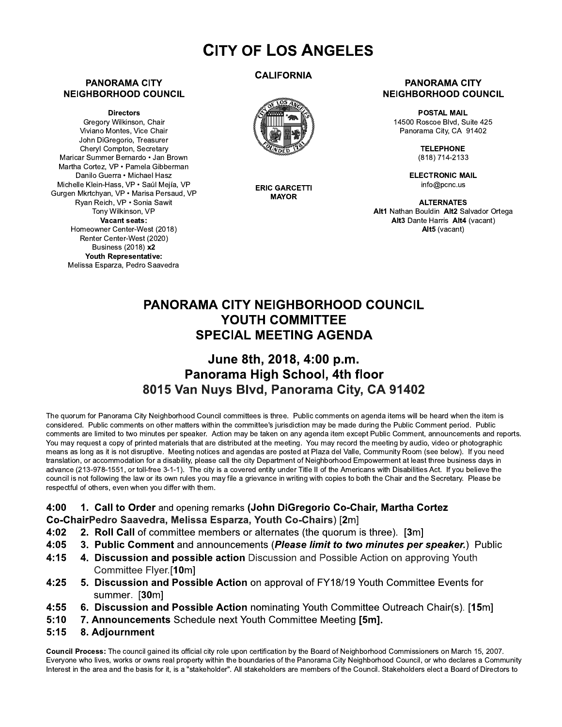# **CITY OF LOS ANGELES**

#### **PANORAMA CITY NEIGHBORHOOD COUNCIL**

**Directors** 

Gregory Wilkinson, Chair Viviano Montes, Vice Chair John DiGregorio, Treasurer Chervl Compton, Secretary Maricar Summer Bernardo · Jan Brown Martha Cortez, VP · Pamela Gibberman Danilo Guerra • Michael Hasz Michelle Klein-Hass, VP · Saúl Meiía, VP Gurgen Mkrtchyan, VP · Marisa Persaud, VP Ryan Reich, VP · Sonia Sawit Tony Wilkinson, VP Vacant seats: Homeowner Center-West (2018) Renter Center-West (2020) Business (2018) x2 Youth Representative: Melissa Esparza, Pedro Saavedra

### **CALIFORNIA**



**ERIC GARCETTI MAYOR** 

#### **PANORAMA CITY NEIGHBORHOOD COUNCIL**

**POSTAL MAIL** 14500 Roscoe Blvd. Suite 425 Panorama City, CA 91402

> **TELEPHONE** (818) 714-2133

**ELECTRONIC MAIL** info@pcnc.us

**ALTERNATES** Alt1 Nathan Bouldin Alt2 Salvador Ortega Alt3 Dante Harris Alt4 (vacant) Alt5 (vacant)

## **PANORAMA CITY NEIGHBORHOOD COUNCIL** YOUTH COMMITTEE **SPECIAL MEETING AGENDA**

### June 8th, 2018, 4:00 p.m. Panorama High School, 4th floor 8015 Van Nuys Blvd, Panorama City, CA 91402

The quorum for Panorama City Neighborhood Council committees is three. Public comments on agenda items will be heard when the item is considered. Public comments on other matters within the committee's jurisdiction may be made during the Public Comment period. Public comments are limited to two minutes per speaker. Action may be taken on any agenda item except Public Comment, announcements and reports. You may request a copy of printed materials that are distributed at the meeting. You may record the meeting by audio, video or photographic means as long as it is not disruptive. Meeting notices and agendas are posted at Plaza del Valle, Community Room (see below). If you need translation, or accommodation for a disability, please call the city Department of Neighborhood Empowerment at least three business days in advance (213-978-1551, or toll-free 3-1-1). The city is a covered entity under Title II of the Americans with Disabilities Act. If you believe the council is not following the law or its own rules you may file a grievance in writing with copies to both the Chair and the Secretary. Please be respectful of others, even when you differ with them.

- 4:00 1. Call to Order and opening remarks (John DiGregorio Co-Chair, Martha Cortez Co-ChairPedro Saavedra, Melissa Esparza, Youth Co-Chairs) [2m]
- 2. Roll Call of committee members or alternates (the quorum is three). [3m]  $4:02$
- $4:05$ 3. Public Comment and announcements (Please limit to two minutes per speaker.) Public
- $4:15$ 4. Discussion and possible action Discussion and Possible Action on approving Youth Committee Flyer.[10m]
- $4:25$ 5. Discussion and Possible Action on approval of FY18/19 Youth Committee Events for summer. [30m]
- $4:55$ 6. Discussion and Possible Action nominating Youth Committee Outreach Chair(s). [15m]
- $5:10$ 7. Announcements Schedule next Youth Committee Meeting [5m].
- $5:15$ 8. Adjournment

Council Process: The council gained its official city role upon certification by the Board of Neighborhood Commissioners on March 15, 2007. Everyone who lives, works or owns real property within the boundaries of the Panorama City Neighborhood Council, or who declares a Community Interest in the area and the basis for it, is a "stakeholder". All stakeholders are members of the Council. Stakeholders elect a Board of Directors to